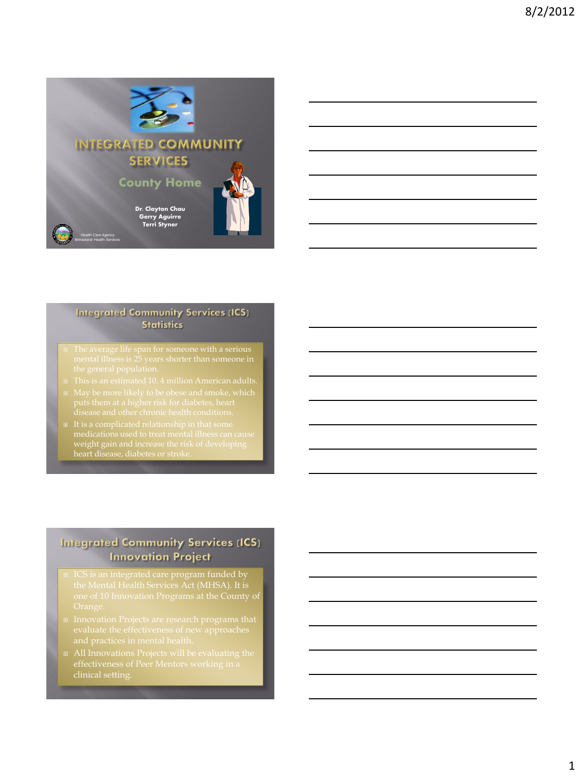

#### **Integrated Community Services (ICS) Statistics**

- 
- weight gain and increase the risk of developing heart disease, diabetes or stroke.

# **Integrated Community Services (ICS) Innovation Project**

- □ ICS is an integrated care program funded by the Mental Health Services Act (MHSA). It is
- 
-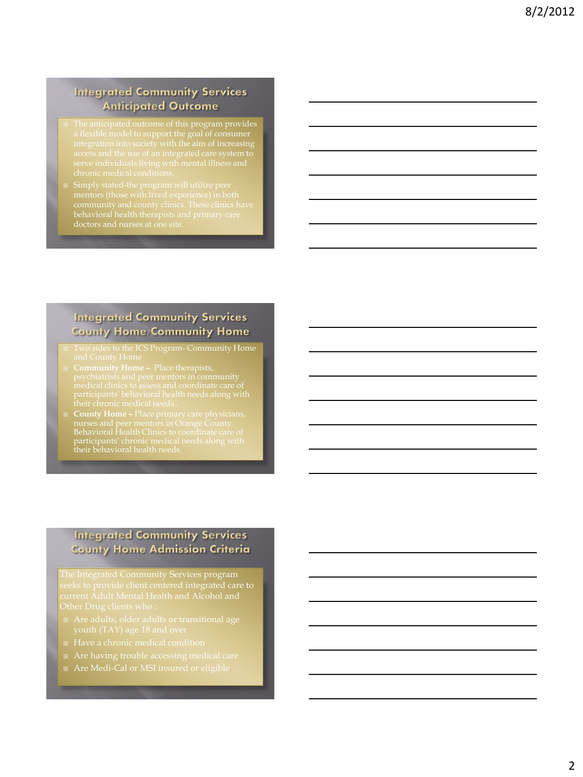# **Integrated Community Services Anticipated Outcome**

- The anticipated outcome of this program provides
- doctors and nurses at one site.

# **Integrated Community Services County Home/Community Home**

- I Two sides to the ICS Program- Community Home
- 
- Behavioral Health Clinics to coordinate care of participants' chronic medical needs along with

# **Integrated Community Services County Home Admission Criteria**

- 
- 
- 
- Are Medi-Cal or MSI insured or eligible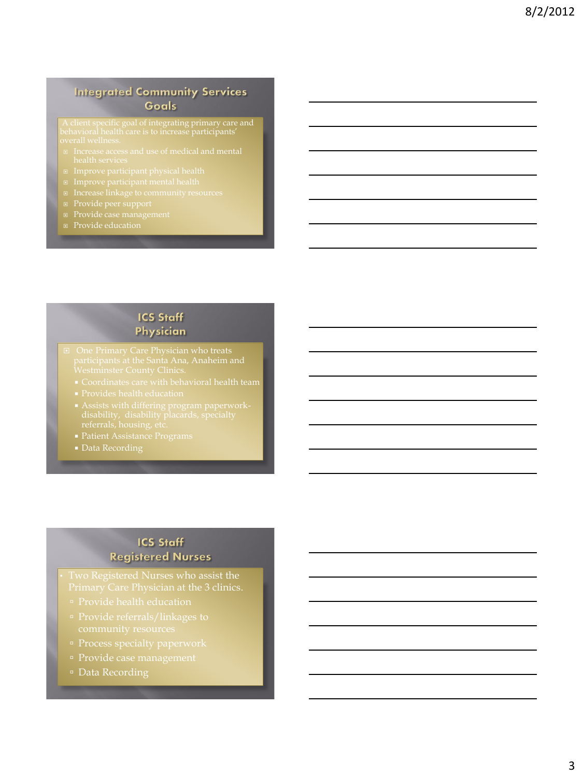# **Integrated Community Services Goals**

- 
- 
- 
- 
- 
- 
- Provide education

### **ICS Staff** Physician

- -
	-
	-
	-
	- Data Recording

# **ICS Staff Registered Nurses**

Primary Care Physician at the 3 clinics.

- 
- 
- 
- 
- Data Recording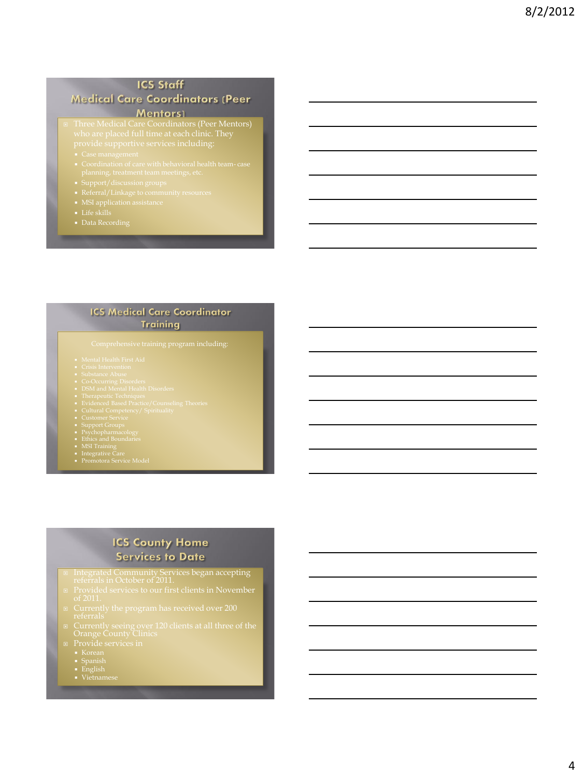# **ICS Staff**

**Medical Care Coordinators (Peer** 

#### **Example 2019 Mentors**)

- Three Medical Care Coordinators (Peer Mentors) who are placed full time at each clinic. They
	-
	-
	-
	-
	-
	-
	-

#### **ICS Medical Care Coordinator Training**

- 
- 
- 
- 
- 
- 
- 
- 
- 
- 
- 
- 
- 
- 

# **ICS County Home Services to Date**

- 
- 
- 
- 
- Provide services in Korean Spanish English Vietnamese
	-
	-
	-
-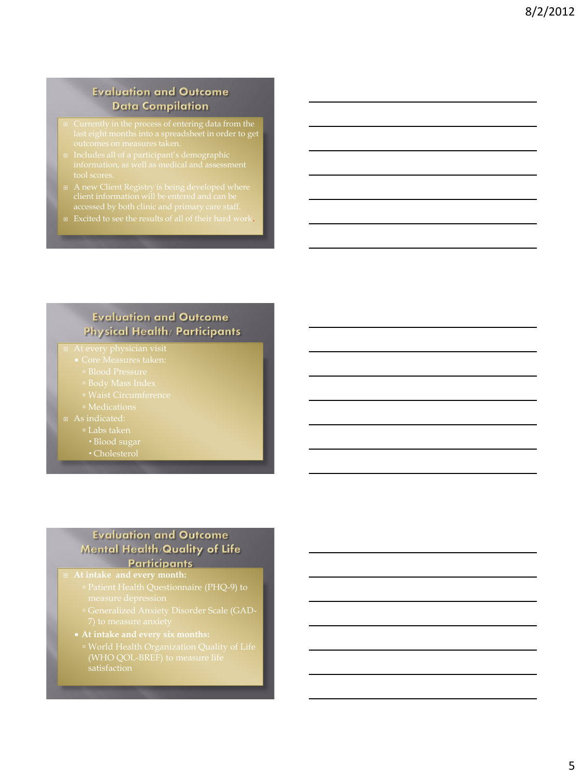# **Evaluation and Outcome Data Compilation**

- 
- 
- 
- Excited to see the results of all of their hard work.

# **Evaluation and Outcome** Physical Health/ Participants

#### At every physician visit

- -
	-
- 
- 
- - Labs taken
		-
		- Cholesterol

### **Evaluation and Outcome** Mental Health/Quality of Life Participants

- Patient Health Questionnaire (PHQ-9) to
- 
- **At intake and every six months:**
	- (WHO QOL-BREF) to measure life satisfaction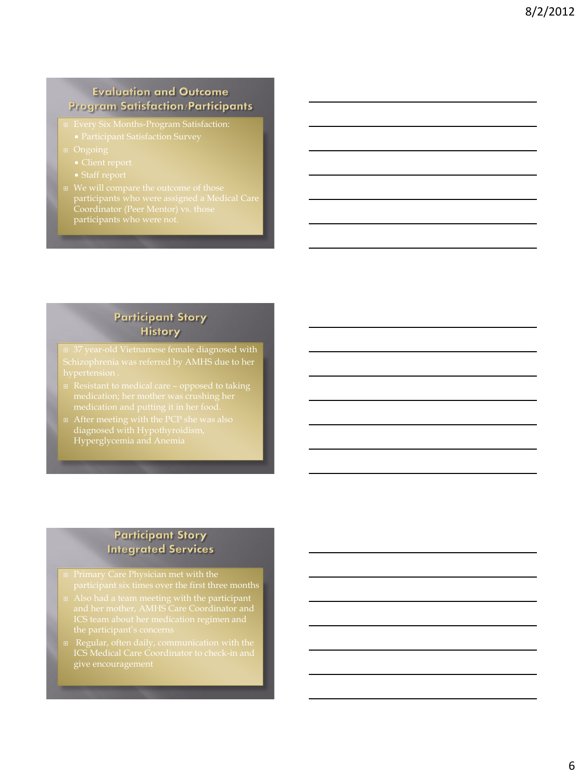# **Evaluation and Outcome Program Satisfaction/Participants**

- -
- -
	-
- participants who were not.

# **Participant Story History**

37 year-old Vietnamese female diagnosed with

- 
- diagnosed with Hypothyroidism, Hyperglycemia and Anemia

# **Participant Story Integrated Services**

- participant six times over the first three months
- 
-